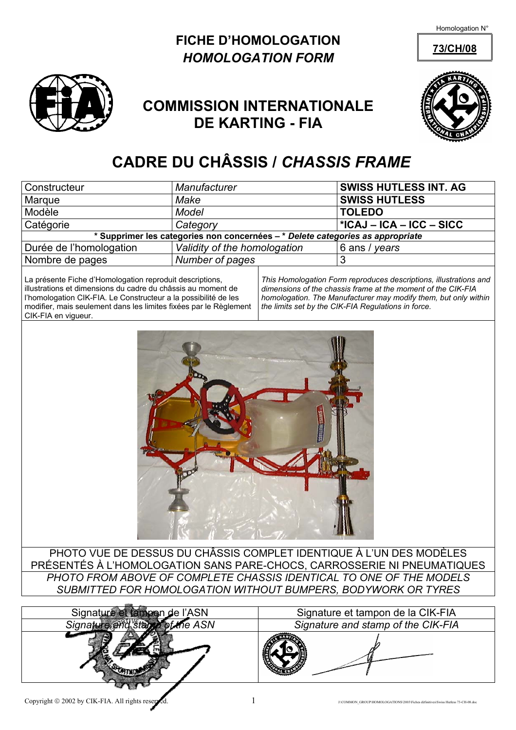Homologation N°





## **COMMISSION INTERNATIONALE DE KARTING - FIA**



## **CADRE DU CHÂSSIS /** *CHASSIS FRAME*

| Constructeur                                                                   | Manufacturer                 | <b>SWISS HUTLESS INT. AG</b> |  |  |  |  |  |  |
|--------------------------------------------------------------------------------|------------------------------|------------------------------|--|--|--|--|--|--|
| Marque                                                                         | Make                         | <b>SWISS HUTLESS</b>         |  |  |  |  |  |  |
| Modèle                                                                         | <b>Model</b>                 | <b>TOLEDO</b>                |  |  |  |  |  |  |
| Catégorie                                                                      | Category                     | ∣ *ICAJ – ICA – ICC – SICC   |  |  |  |  |  |  |
| * Supprimer les categories non concernées - * Delete categories as appropriate |                              |                              |  |  |  |  |  |  |
| Durée de l'homologation                                                        | Validity of the homologation | 6 ans / years                |  |  |  |  |  |  |
| Nombre de pages                                                                | Number of pages              |                              |  |  |  |  |  |  |

La présente Fiche d'Homologation reproduit descriptions, illustrations et dimensions du cadre du châssis au moment de l'homologation CIK-FIA. Le Constructeur a la possibilité de les modifier, mais seulement dans les limites fixées par le Règlement CIK-FIA en vigueur.

*This Homologation Form reproduces descriptions, illustrations and dimensions of the chassis frame at the moment of the CIK-FIA homologation. The Manufacturer may modify them, but only within the limits set by the CIK-FIA Regulations in force.* 



PHOTO VUE DE DESSUS DU CHÂSSIS COMPLET IDENTIQUE À L'UN DES MODÈLES PRÉSENTÉS À L'HOMOLOGATION SANS PARE-CHOCS, CARROSSERIE NI PNEUMATIQUES *PHOTO FROM ABOVE OF COMPLETE CHASSIS IDENTICAL TO ONE OF THE MODELS SUBMITTED FOR HOMOLOGATION WITHOUT BUMPERS, BODYWORK OR TYRES* 

| Signature et fampon de l'ASN      |
|-----------------------------------|
| of the ASN<br>Signature and staps |
|                                   |
|                                   |

Signature et tampon de la CIK-FIA **Signature and stamp of the CIK-FIA**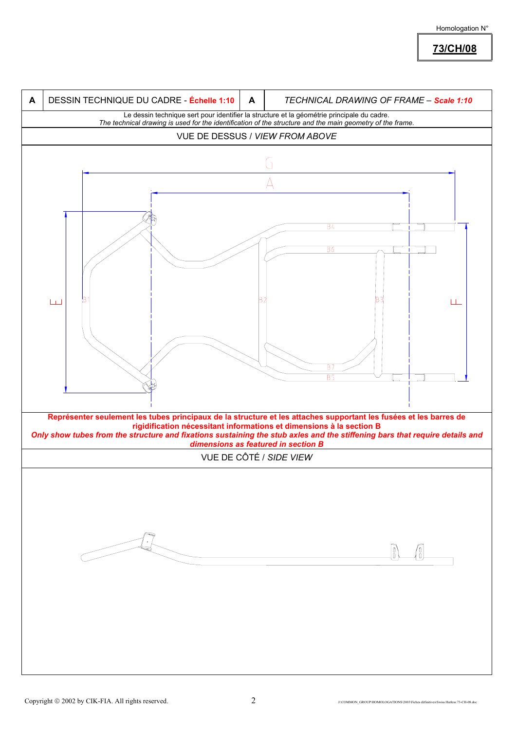

**73/CH/08**